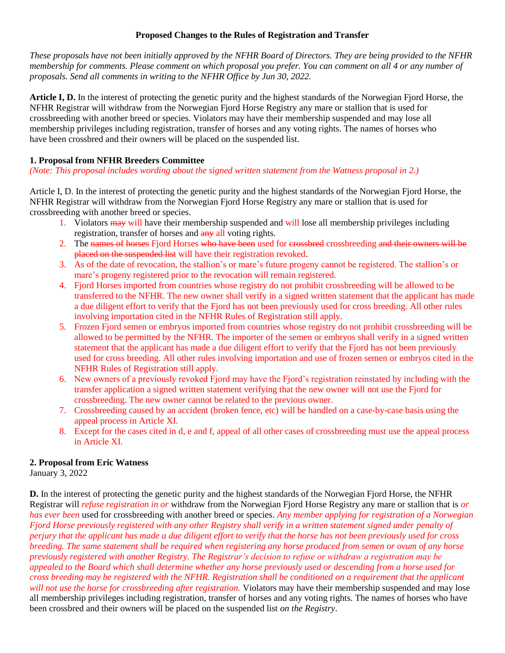### **Proposed Changes to the Rules of Registration and Transfer**

*These proposals have not been initially approved by the NFHR Board of Directors. They are being provided to the NFHR membership for comments. Please comment on which proposal you prefer. You can comment on all 4 or any number of proposals. Send all comments in writing to the NFHR Office by Jun 30, 2022.*

**Article I, D.** In the interest of protecting the genetic purity and the highest standards of the Norwegian Fjord Horse, the NFHR Registrar will withdraw from the Norwegian Fjord Horse Registry any mare or stallion that is used for crossbreeding with another breed or species. Violators may have their membership suspended and may lose all membership privileges including registration, transfer of horses and any voting rights. The names of horses who have been crossbred and their owners will be placed on the suspended list.

### **1. Proposal from NFHR Breeders Committee**

*(Note: This proposal includes wording about the signed written statement from the Watness proposal in 2.)*

Article I, D. In the interest of protecting the genetic purity and the highest standards of the Norwegian Fjord Horse, the NFHR Registrar will withdraw from the Norwegian Fjord Horse Registry any mare or stallion that is used for crossbreeding with another breed or species.

- 1. Violators may will have their membership suspended and will lose all membership privileges including registration, transfer of horses and  $\frac{d}{dx}$  all voting rights.
- 2. The names of horses Fjord Horses who have been used for crossbred crossbreeding and their owners will be placed on the suspended list will have their registration revoked.
- 3. As of the date of revocation, the stallion's or mare's future progeny cannot be registered. The stallion's or mare's progeny registered prior to the revocation will remain registered.
- 4. Fjord Horses imported from countries whose registry do not prohibit crossbreeding will be allowed to be transferred to the NFHR. The new owner shall verify in a signed written statement that the applicant has made a due diligent effort to verify that the Fjord has not been previously used for cross breeding. All other rules involving importation cited in the NFHR Rules of Registration still apply.
- 5. Frozen Fjord semen or embryos imported from countries whose registry do not prohibit crossbreeding will be allowed to be permitted by the NFHR. The importer of the semen or embryos shall verify in a signed written statement that the applicant has made a due diligent effort to verify that the Fjord has not been previously used for cross breeding. All other rules involving importation and use of frozen semen or embryos cited in the NFHR Rules of Registration still apply.
- 6. New owners of a previously revoked Fjord may have the Fjord's registration reinstated by including with the transfer application a signed written statement verifying that the new owner will not use the Fjord for crossbreeding. The new owner cannot be related to the previous owner.
- 7. Crossbreeding caused by an accident (broken fence, etc) will be handled on a case-by-case basis using the appeal process in Article XI.
- 8. Except for the cases cited in d, e and f, appeal of all other cases of crossbreeding must use the appeal process in Article XI.

## **2. Proposal from Eric Watness**

January 3, 2022

**D.** In the interest of protecting the genetic purity and the highest standards of the Norwegian Fjord Horse, the NFHR Registrar will *refuse registration in or* withdraw from the Norwegian Fjord Horse Registry any mare or stallion that is *or has ever been* used for crossbreeding with another breed or species. *Any member applying for registration of a Norwegian Fjord Horse previously registered with any other Registry shall verify in a written statement signed under penalty of perjury that the applicant has made a due diligent effort to verify that the horse has not been previously used for cross breeding. The same statement shall be required when registering any horse produced from semen or ovum of any horse previously registered with another Registry. The Registrar's decision to refuse or withdraw a registration may be appealed to the Board which shall determine whether any horse previously used or descending from a horse used for cross breeding may be registered with the NFHR. Registration shall be conditioned on a requirement that the applicant will not use the horse for crossbreeding after registration.* Violators may have their membership suspended and may lose all membership privileges including registration, transfer of horses and any voting rights. The names of horses who have been crossbred and their owners will be placed on the suspended list *on the Registry*.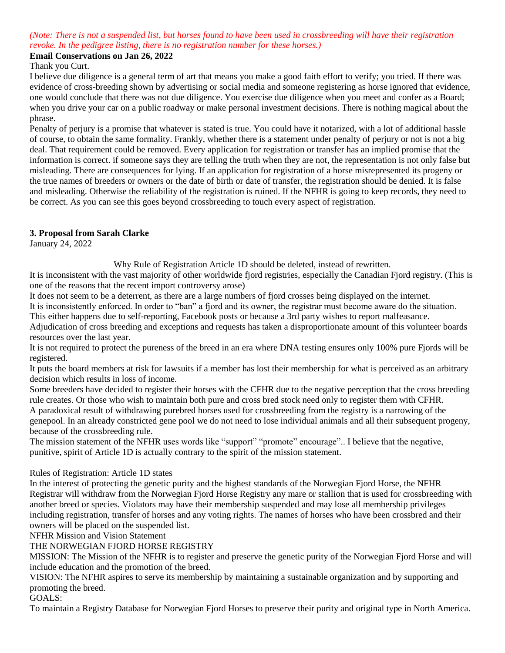# *(Note: There is not a suspended list, but horses found to have been used in crossbreeding will have their registration revoke. In the pedigree listing, there is no registration number for these horses.)*

### **Email Conservations on Jan 26, 2022**

Thank you Curt.

I believe due diligence is a general term of art that means you make a good faith effort to verify; you tried. If there was evidence of cross-breeding shown by advertising or social media and someone registering as horse ignored that evidence, one would conclude that there was not due diligence. You exercise due diligence when you meet and confer as a Board; when you drive your car on a public roadway or make personal investment decisions. There is nothing magical about the phrase.

Penalty of perjury is a promise that whatever is stated is true. You could have it notarized, with a lot of additional hassle of course, to obtain the same formality. Frankly, whether there is a statement under penalty of perjury or not is not a big deal. That requirement could be removed. Every application for registration or transfer has an implied promise that the information is correct. if someone says they are telling the truth when they are not, the representation is not only false but misleading. There are consequences for lying. If an application for registration of a horse misrepresented its progeny or the true names of breeders or owners or the date of birth or date of transfer, the registration should be denied. It is false and misleading. Otherwise the reliability of the registration is ruined. If the NFHR is going to keep records, they need to be correct. As you can see this goes beyond crossbreeding to touch every aspect of registration.

#### **3. Proposal from Sarah Clarke**

January 24, 2022

Why Rule of Registration Article 1D should be deleted, instead of rewritten.

It is inconsistent with the vast majority of other worldwide fjord registries, especially the Canadian Fjord registry. (This is one of the reasons that the recent import controversy arose)

It does not seem to be a deterrent, as there are a large numbers of fjord crosses being displayed on the internet.

It is inconsistently enforced. In order to "ban" a fjord and its owner, the registrar must become aware do the situation.

This either happens due to self-reporting, Facebook posts or because a 3rd party wishes to report malfeasance.

Adjudication of cross breeding and exceptions and requests has taken a disproportionate amount of this volunteer boards resources over the last year.

It is not required to protect the pureness of the breed in an era where DNA testing ensures only 100% pure Fjords will be registered.

It puts the board members at risk for lawsuits if a member has lost their membership for what is perceived as an arbitrary decision which results in loss of income.

Some breeders have decided to register their horses with the CFHR due to the negative perception that the cross breeding rule creates. Or those who wish to maintain both pure and cross bred stock need only to register them with CFHR.

A paradoxical result of withdrawing purebred horses used for crossbreeding from the registry is a narrowing of the genepool. In an already constricted gene pool we do not need to lose individual animals and all their subsequent progeny, because of the crossbreeding rule.

The mission statement of the NFHR uses words like "support" "promote" encourage".. I believe that the negative, punitive, spirit of Article 1D is actually contrary to the spirit of the mission statement.

### Rules of Registration: Article 1D states

In the interest of protecting the genetic purity and the highest standards of the Norwegian Fjord Horse, the NFHR Registrar will withdraw from the Norwegian Fjord Horse Registry any mare or stallion that is used for crossbreeding with another breed or species. Violators may have their membership suspended and may lose all membership privileges including registration, transfer of horses and any voting rights. The names of horses who have been crossbred and their owners will be placed on the suspended list.

NFHR Mission and Vision Statement

#### THE NORWEGIAN FJORD HORSE REGISTRY

MISSION: The Mission of the NFHR is to register and preserve the genetic purity of the Norwegian Fjord Horse and will include education and the promotion of the breed.

VISION: The NFHR aspires to serve its membership by maintaining a sustainable organization and by supporting and promoting the breed.

### GOALS:

To maintain a Registry Database for Norwegian Fjord Horses to preserve their purity and original type in North America.